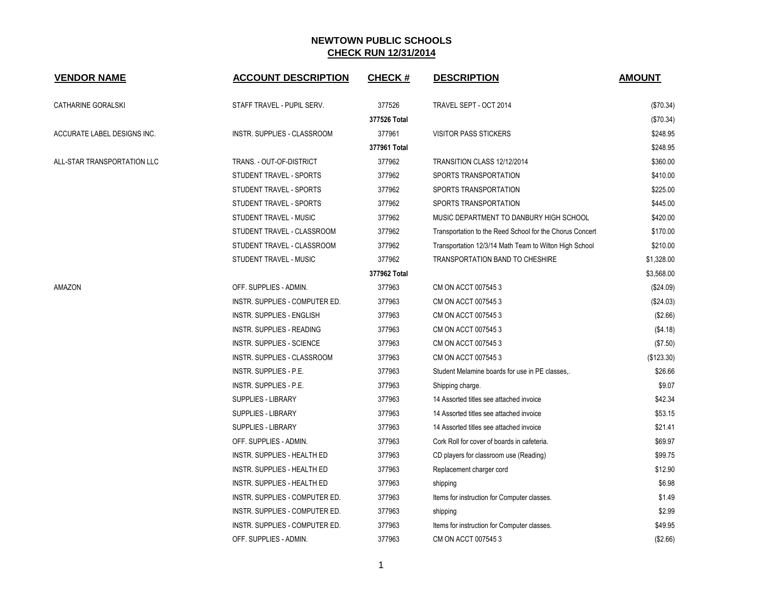| <b>VENDOR NAME</b>          | <b>ACCOUNT DESCRIPTION</b>       | <b>CHECK#</b> | <b>DESCRIPTION</b>                                       | <b>AMOUNT</b> |
|-----------------------------|----------------------------------|---------------|----------------------------------------------------------|---------------|
| CATHARINE GORALSKI          | STAFF TRAVEL - PUPIL SERV.       | 377526        | TRAVEL SEPT - OCT 2014                                   | (\$70.34)     |
|                             |                                  | 377526 Total  |                                                          | (\$70.34)     |
| ACCURATE LABEL DESIGNS INC. | INSTR. SUPPLIES - CLASSROOM      | 377961        | <b>VISITOR PASS STICKERS</b>                             | \$248.95      |
|                             |                                  | 377961 Total  |                                                          | \$248.95      |
| ALL-STAR TRANSPORTATION LLC | TRANS. - OUT-OF-DISTRICT         | 377962        | TRANSITION CLASS 12/12/2014                              | \$360.00      |
|                             | STUDENT TRAVEL - SPORTS          | 377962        | SPORTS TRANSPORTATION                                    | \$410.00      |
|                             | STUDENT TRAVEL - SPORTS          | 377962        | SPORTS TRANSPORTATION                                    | \$225.00      |
|                             | STUDENT TRAVEL - SPORTS          | 377962        | SPORTS TRANSPORTATION                                    | \$445.00      |
|                             | STUDENT TRAVEL - MUSIC           | 377962        | MUSIC DEPARTMENT TO DANBURY HIGH SCHOOL                  | \$420.00      |
|                             | STUDENT TRAVEL - CLASSROOM       | 377962        | Transportation to the Reed School for the Chorus Concert | \$170.00      |
|                             | STUDENT TRAVEL - CLASSROOM       | 377962        | Transportation 12/3/14 Math Team to Wilton High School   | \$210.00      |
|                             | STUDENT TRAVEL - MUSIC           | 377962        | <b>TRANSPORTATION BAND TO CHESHIRE</b>                   | \$1,328.00    |
|                             |                                  | 377962 Total  |                                                          | \$3,568.00    |
| AMAZON                      | OFF. SUPPLIES - ADMIN.           | 377963        | CM ON ACCT 0075453                                       | (\$24.09)     |
|                             | INSTR. SUPPLIES - COMPUTER ED.   | 377963        | CM ON ACCT 0075453                                       | (\$24.03)     |
|                             | <b>INSTR. SUPPLIES - ENGLISH</b> | 377963        | CM ON ACCT 0075453                                       | (\$2.66)      |
|                             | INSTR. SUPPLIES - READING        | 377963        | CM ON ACCT 0075453                                       | (\$4.18)      |
|                             | INSTR. SUPPLIES - SCIENCE        | 377963        | CM ON ACCT 0075453                                       | (\$7.50)      |
|                             | INSTR. SUPPLIES - CLASSROOM      | 377963        | CM ON ACCT 0075453                                       | (\$123.30)    |
|                             | INSTR. SUPPLIES - P.E.           | 377963        | Student Melamine boards for use in PE classes            | \$26.66       |
|                             | INSTR. SUPPLIES - P.E.           | 377963        | Shipping charge.                                         | \$9.07        |
|                             | <b>SUPPLIES - LIBRARY</b>        | 377963        | 14 Assorted titles see attached invoice                  | \$42.34       |
|                             | <b>SUPPLIES - LIBRARY</b>        | 377963        | 14 Assorted titles see attached invoice                  | \$53.15       |
|                             | <b>SUPPLIES - LIBRARY</b>        | 377963        | 14 Assorted titles see attached invoice                  | \$21.41       |
|                             | OFF. SUPPLIES - ADMIN.           | 377963        | Cork Roll for cover of boards in cafeteria.              | \$69.97       |
|                             | INSTR. SUPPLIES - HEALTH ED      | 377963        | CD players for classroom use (Reading)                   | \$99.75       |
|                             | INSTR. SUPPLIES - HEALTH ED      | 377963        | Replacement charger cord                                 | \$12.90       |
|                             | INSTR. SUPPLIES - HEALTH ED      | 377963        | shipping                                                 | \$6.98        |
|                             | INSTR. SUPPLIES - COMPUTER ED.   | 377963        | Items for instruction for Computer classes.              | \$1.49        |
|                             | INSTR. SUPPLIES - COMPUTER ED.   | 377963        | shipping                                                 | \$2.99        |
|                             | INSTR. SUPPLIES - COMPUTER ED.   | 377963        | Items for instruction for Computer classes.              | \$49.95       |
|                             | OFF. SUPPLIES - ADMIN.           | 377963        | CM ON ACCT 0075453                                       | (\$2.66)      |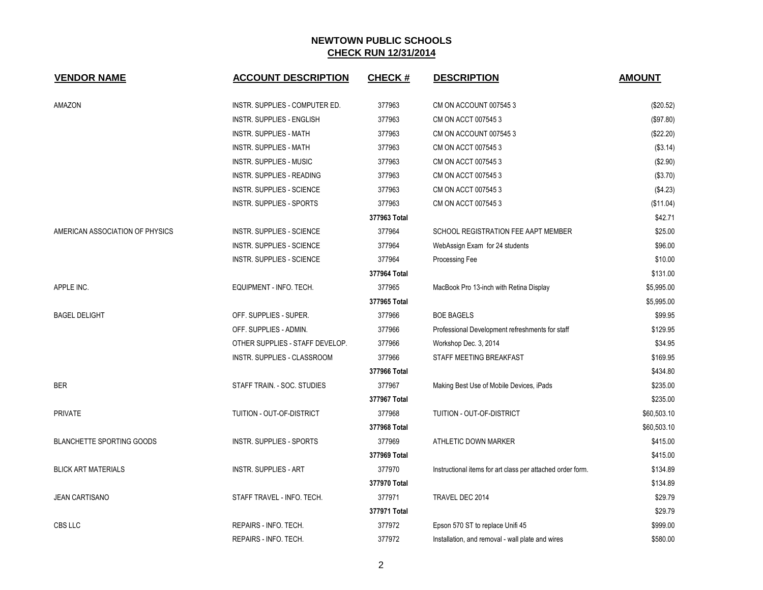| <b>VENDOR NAME</b>               | <b>ACCOUNT DESCRIPTION</b>       | <b>CHECK#</b> | <b>DESCRIPTION</b>                                         | <b>AMOUNT</b> |
|----------------------------------|----------------------------------|---------------|------------------------------------------------------------|---------------|
| AMAZON                           | INSTR. SUPPLIES - COMPUTER ED.   | 377963        | CM ON ACCOUNT 0075453                                      | (\$20.52)     |
|                                  | <b>INSTR. SUPPLIES - ENGLISH</b> | 377963        | CM ON ACCT 0075453                                         | (\$97.80)     |
|                                  | <b>INSTR. SUPPLIES - MATH</b>    | 377963        | CM ON ACCOUNT 0075453                                      | (\$22.20)     |
|                                  | <b>INSTR. SUPPLIES - MATH</b>    | 377963        | CM ON ACCT 007545 3                                        | (\$3.14)      |
|                                  | INSTR. SUPPLIES - MUSIC          | 377963        | CM ON ACCT 007545 3                                        | (\$2.90)      |
|                                  | <b>INSTR. SUPPLIES - READING</b> | 377963        | CM ON ACCT 007545 3                                        | (\$3.70)      |
|                                  | <b>INSTR. SUPPLIES - SCIENCE</b> | 377963        | CM ON ACCT 0075453                                         | (\$4.23)      |
|                                  | INSTR. SUPPLIES - SPORTS         | 377963        | CM ON ACCT 007545 3                                        | (\$11.04)     |
|                                  |                                  | 377963 Total  |                                                            | \$42.71       |
| AMERICAN ASSOCIATION OF PHYSICS  | <b>INSTR. SUPPLIES - SCIENCE</b> | 377964        | SCHOOL REGISTRATION FEE AAPT MEMBER                        | \$25.00       |
|                                  | <b>INSTR. SUPPLIES - SCIENCE</b> | 377964        | WebAssign Exam for 24 students                             | \$96.00       |
|                                  | <b>INSTR. SUPPLIES - SCIENCE</b> | 377964        | Processing Fee                                             | \$10.00       |
|                                  |                                  | 377964 Total  |                                                            | \$131.00      |
| APPLE INC.                       | EQUIPMENT - INFO. TECH.          | 377965        | MacBook Pro 13-inch with Retina Display                    | \$5,995.00    |
|                                  |                                  | 377965 Total  |                                                            | \$5,995.00    |
| <b>BAGEL DELIGHT</b>             | OFF. SUPPLIES - SUPER.           | 377966        | <b>BOE BAGELS</b>                                          | \$99.95       |
|                                  | OFF. SUPPLIES - ADMIN.           | 377966        | Professional Development refreshments for staff            | \$129.95      |
|                                  | OTHER SUPPLIES - STAFF DEVELOP.  | 377966        | Workshop Dec. 3, 2014                                      | \$34.95       |
|                                  | INSTR. SUPPLIES - CLASSROOM      | 377966        | STAFF MEETING BREAKFAST                                    | \$169.95      |
|                                  |                                  | 377966 Total  |                                                            | \$434.80      |
| <b>BER</b>                       | STAFF TRAIN. - SOC. STUDIES      | 377967        | Making Best Use of Mobile Devices, iPads                   | \$235.00      |
|                                  |                                  | 377967 Total  |                                                            | \$235.00      |
| <b>PRIVATE</b>                   | TUITION - OUT-OF-DISTRICT        | 377968        | TUITION - OUT-OF-DISTRICT                                  | \$60,503.10   |
|                                  |                                  | 377968 Total  |                                                            | \$60,503.10   |
| <b>BLANCHETTE SPORTING GOODS</b> | <b>INSTR. SUPPLIES - SPORTS</b>  | 377969        | ATHLETIC DOWN MARKER                                       | \$415.00      |
|                                  |                                  | 377969 Total  |                                                            | \$415.00      |
| <b>BLICK ART MATERIALS</b>       | <b>INSTR. SUPPLIES - ART</b>     | 377970        | Instructional items for art class per attached order form. | \$134.89      |
|                                  |                                  | 377970 Total  |                                                            | \$134.89      |
| <b>JEAN CARTISANO</b>            | STAFF TRAVEL - INFO. TECH.       | 377971        | TRAVEL DEC 2014                                            | \$29.79       |
|                                  |                                  | 377971 Total  |                                                            | \$29.79       |
| CBS LLC                          | REPAIRS - INFO. TECH.            | 377972        | Epson 570 ST to replace Unifi 45                           | \$999.00      |
|                                  | REPAIRS - INFO. TECH.            | 377972        | Installation, and removal - wall plate and wires           | \$580.00      |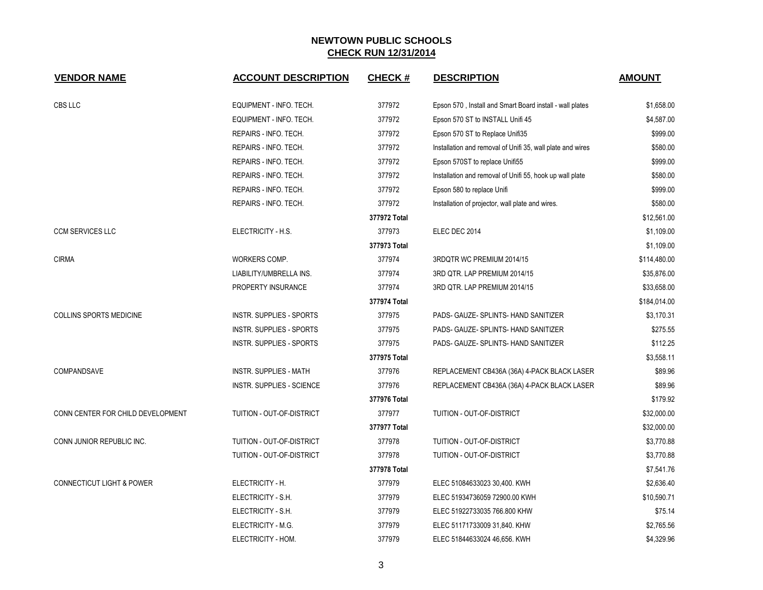| <b>VENDOR NAME</b>                   | <b>ACCOUNT DESCRIPTION</b>       | <b>CHECK#</b> | <b>DESCRIPTION</b>                                         | <b>AMOUNT</b> |
|--------------------------------------|----------------------------------|---------------|------------------------------------------------------------|---------------|
| CBS LLC                              | EQUIPMENT - INFO. TECH.          | 377972        | Epson 570, Install and Smart Board install - wall plates   | \$1,658.00    |
|                                      | EQUIPMENT - INFO. TECH.          | 377972        | Epson 570 ST to INSTALL Unifi 45                           | \$4,587.00    |
|                                      | REPAIRS - INFO. TECH.            | 377972        | Epson 570 ST to Replace Unifi35                            | \$999.00      |
|                                      | REPAIRS - INFO. TECH.            | 377972        | Installation and removal of Unifi 35, wall plate and wires | \$580.00      |
|                                      | REPAIRS - INFO. TECH.            | 377972        | Epson 570ST to replace Unifi55                             | \$999.00      |
|                                      | REPAIRS - INFO. TECH.            | 377972        | Installation and removal of Unifi 55, hook up wall plate   | \$580.00      |
|                                      | REPAIRS - INFO. TECH.            | 377972        | Epson 580 to replace Unifi                                 | \$999.00      |
|                                      | REPAIRS - INFO. TECH.            | 377972        | Installation of projector, wall plate and wires.           | \$580.00      |
|                                      |                                  | 377972 Total  |                                                            | \$12,561.00   |
| <b>CCM SERVICES LLC</b>              | ELECTRICITY - H.S.               | 377973        | ELEC DEC 2014                                              | \$1,109.00    |
|                                      |                                  | 377973 Total  |                                                            | \$1,109.00    |
| <b>CIRMA</b>                         | WORKERS COMP.                    | 377974        | 3RDQTR WC PREMIUM 2014/15                                  | \$114,480.00  |
|                                      | LIABILITY/UMBRELLA INS.          | 377974        | 3RD QTR. LAP PREMIUM 2014/15                               | \$35,876.00   |
|                                      | PROPERTY INSURANCE               | 377974        | 3RD QTR. LAP PREMIUM 2014/15                               | \$33,658.00   |
|                                      |                                  | 377974 Total  |                                                            | \$184,014.00  |
| COLLINS SPORTS MEDICINE              | <b>INSTR. SUPPLIES - SPORTS</b>  | 377975        | PADS- GAUZE- SPLINTS- HAND SANITIZER                       | \$3,170.31    |
|                                      | <b>INSTR. SUPPLIES - SPORTS</b>  | 377975        | PADS- GAUZE- SPLINTS- HAND SANITIZER                       | \$275.55      |
|                                      | INSTR. SUPPLIES - SPORTS         | 377975        | PADS- GAUZE- SPLINTS- HAND SANITIZER                       | \$112.25      |
|                                      |                                  | 377975 Total  |                                                            | \$3,558.11    |
| COMPANDSAVE                          | <b>INSTR. SUPPLIES - MATH</b>    | 377976        | REPLACEMENT CB436A (36A) 4-PACK BLACK LASER                | \$89.96       |
|                                      | <b>INSTR. SUPPLIES - SCIENCE</b> | 377976        | REPLACEMENT CB436A (36A) 4-PACK BLACK LASER                | \$89.96       |
|                                      |                                  | 377976 Total  |                                                            | \$179.92      |
| CONN CENTER FOR CHILD DEVELOPMENT    | TUITION - OUT-OF-DISTRICT        | 377977        | TUITION - OUT-OF-DISTRICT                                  | \$32,000.00   |
|                                      |                                  | 377977 Total  |                                                            | \$32,000.00   |
| CONN JUNIOR REPUBLIC INC.            | TUITION - OUT-OF-DISTRICT        | 377978        | TUITION - OUT-OF-DISTRICT                                  | \$3,770.88    |
|                                      | TUITION - OUT-OF-DISTRICT        | 377978        | TUITION - OUT-OF-DISTRICT                                  | \$3,770.88    |
|                                      |                                  | 377978 Total  |                                                            | \$7,541.76    |
| <b>CONNECTICUT LIGHT &amp; POWER</b> | ELECTRICITY - H.                 | 377979        | ELEC 51084633023 30,400. KWH                               | \$2,636.40    |
|                                      | ELECTRICITY - S.H.               | 377979        | ELEC 51934736059 72900.00 KWH                              | \$10,590.71   |
|                                      | ELECTRICITY - S.H.               | 377979        | ELEC 51922733035 766.800 KHW                               | \$75.14       |
|                                      | ELECTRICITY - M.G.               | 377979        | ELEC 51171733009 31,840. KHW                               | \$2,765.56    |
|                                      | ELECTRICITY - HOM.               | 377979        | ELEC 51844633024 46,656. KWH                               | \$4,329.96    |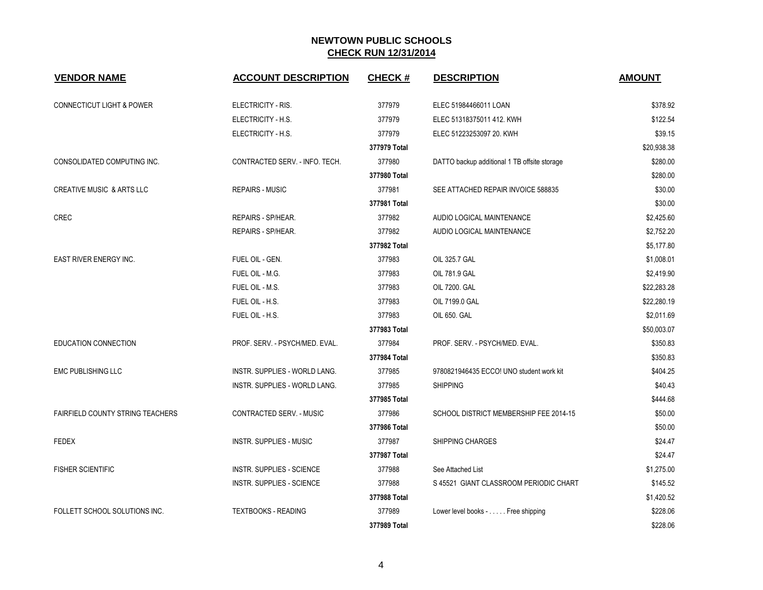| <b>VENDOR NAME</b>                      | <b>ACCOUNT DESCRIPTION</b>       | <b>CHECK#</b> | <b>DESCRIPTION</b>                           | <b>AMOUNT</b> |
|-----------------------------------------|----------------------------------|---------------|----------------------------------------------|---------------|
| <b>CONNECTICUT LIGHT &amp; POWER</b>    | ELECTRICITY - RIS.               | 377979        | ELEC 51984466011 LOAN                        | \$378.92      |
|                                         | ELECTRICITY - H.S.               | 377979        | ELEC 51318375011 412. KWH                    | \$122.54      |
|                                         | ELECTRICITY - H.S.               | 377979        | ELEC 51223253097 20. KWH                     | \$39.15       |
|                                         |                                  | 377979 Total  |                                              | \$20,938.38   |
| CONSOLIDATED COMPUTING INC.             | CONTRACTED SERV. - INFO. TECH.   | 377980        | DATTO backup additional 1 TB offsite storage | \$280.00      |
|                                         |                                  | 377980 Total  |                                              | \$280.00      |
| <b>CREATIVE MUSIC &amp; ARTS LLC</b>    | <b>REPAIRS - MUSIC</b>           | 377981        | SEE ATTACHED REPAIR INVOICE 588835           | \$30.00       |
|                                         |                                  | 377981 Total  |                                              | \$30.00       |
| <b>CREC</b>                             | <b>REPAIRS - SP/HEAR.</b>        | 377982        | AUDIO LOGICAL MAINTENANCE                    | \$2,425.60    |
|                                         | REPAIRS - SP/HEAR.               | 377982        | AUDIO LOGICAL MAINTENANCE                    | \$2,752.20    |
|                                         |                                  | 377982 Total  |                                              | \$5,177.80    |
| EAST RIVER ENERGY INC.                  | FUEL OIL - GEN.                  | 377983        | OIL 325.7 GAL                                | \$1,008.01    |
|                                         | FUEL OIL - M.G.                  | 377983        | OIL 781.9 GAL                                | \$2,419.90    |
|                                         | FUEL OIL - M.S.                  | 377983        | OIL 7200. GAL                                | \$22,283.28   |
|                                         | FUEL OIL - H.S.                  | 377983        | OIL 7199.0 GAL                               | \$22,280.19   |
|                                         | FUEL OIL - H.S.                  | 377983        | OIL 650. GAL                                 | \$2,011.69    |
|                                         |                                  | 377983 Total  |                                              | \$50,003.07   |
| EDUCATION CONNECTION                    | PROF. SERV. - PSYCH/MED. EVAL.   | 377984        | PROF. SERV. - PSYCH/MED. EVAL.               | \$350.83      |
|                                         |                                  | 377984 Total  |                                              | \$350.83      |
| <b>EMC PUBLISHING LLC</b>               | INSTR. SUPPLIES - WORLD LANG.    | 377985        | 9780821946435 ECCO! UNO student work kit     | \$404.25      |
|                                         | INSTR. SUPPLIES - WORLD LANG.    | 377985        | <b>SHIPPING</b>                              | \$40.43       |
|                                         |                                  | 377985 Total  |                                              | \$444.68      |
| <b>FAIRFIELD COUNTY STRING TEACHERS</b> | <b>CONTRACTED SERV. - MUSIC</b>  | 377986        | SCHOOL DISTRICT MEMBERSHIP FEE 2014-15       | \$50.00       |
|                                         |                                  | 377986 Total  |                                              | \$50.00       |
| <b>FEDEX</b>                            | <b>INSTR. SUPPLIES - MUSIC</b>   | 377987        | <b>SHIPPING CHARGES</b>                      | \$24.47       |
|                                         |                                  | 377987 Total  |                                              | \$24.47       |
| <b>FISHER SCIENTIFIC</b>                | <b>INSTR. SUPPLIES - SCIENCE</b> | 377988        | See Attached List                            | \$1,275.00    |
|                                         | <b>INSTR. SUPPLIES - SCIENCE</b> | 377988        | S 45521 GIANT CLASSROOM PERIODIC CHART       | \$145.52      |
|                                         |                                  | 377988 Total  |                                              | \$1,420.52    |
| FOLLETT SCHOOL SOLUTIONS INC.           | <b>TEXTBOOKS - READING</b>       | 377989        | Lower level books - Free shipping            | \$228.06      |
|                                         |                                  | 377989 Total  |                                              | \$228.06      |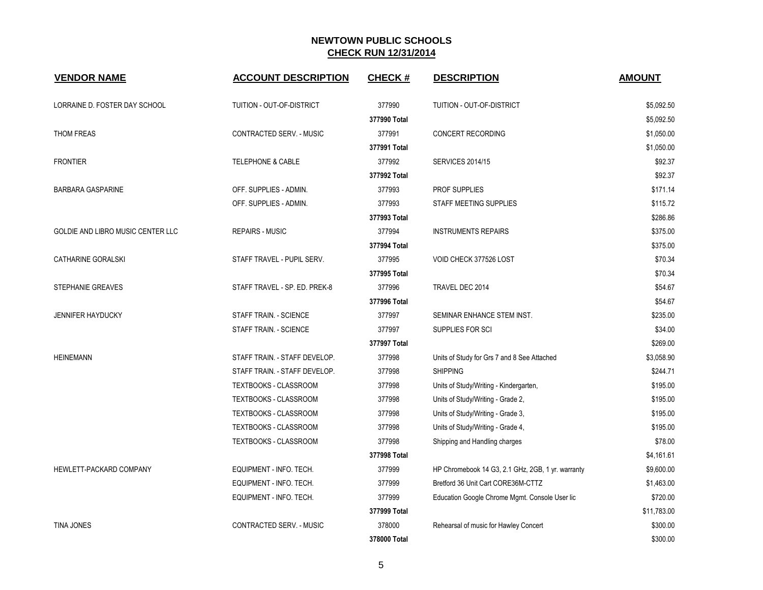| <b>VENDOR NAME</b>                | <b>ACCOUNT DESCRIPTION</b>       | <b>CHECK#</b> | <b>DESCRIPTION</b>                                | <b>AMOUNT</b> |
|-----------------------------------|----------------------------------|---------------|---------------------------------------------------|---------------|
| LORRAINE D. FOSTER DAY SCHOOL     | <b>TUITION - OUT-OF-DISTRICT</b> | 377990        | TUITION - OUT-OF-DISTRICT                         | \$5,092.50    |
|                                   |                                  | 377990 Total  |                                                   | \$5,092.50    |
| THOM FREAS                        | CONTRACTED SERV. - MUSIC         | 377991        | CONCERT RECORDING                                 | \$1,050.00    |
|                                   |                                  | 377991 Total  |                                                   | \$1,050.00    |
| <b>FRONTIER</b>                   | TELEPHONE & CABLE                | 377992        | <b>SERVICES 2014/15</b>                           | \$92.37       |
|                                   |                                  | 377992 Total  |                                                   | \$92.37       |
| <b>BARBARA GASPARINE</b>          | OFF. SUPPLIES - ADMIN.           | 377993        | PROF SUPPLIES                                     | \$171.14      |
|                                   | OFF. SUPPLIES - ADMIN.           | 377993        | STAFF MEETING SUPPLIES                            | \$115.72      |
|                                   |                                  | 377993 Total  |                                                   | \$286.86      |
| GOLDIE AND LIBRO MUSIC CENTER LLC | <b>REPAIRS - MUSIC</b>           | 377994        | <b>INSTRUMENTS REPAIRS</b>                        | \$375.00      |
|                                   |                                  | 377994 Total  |                                                   | \$375.00      |
| CATHARINE GORALSKI                | STAFF TRAVEL - PUPIL SERV.       | 377995        | VOID CHECK 377526 LOST                            | \$70.34       |
|                                   |                                  | 377995 Total  |                                                   | \$70.34       |
| STEPHANIE GREAVES                 | STAFF TRAVEL - SP. ED. PREK-8    | 377996        | TRAVEL DEC 2014                                   | \$54.67       |
|                                   |                                  | 377996 Total  |                                                   | \$54.67       |
| <b>JENNIFER HAYDUCKY</b>          | STAFF TRAIN. - SCIENCE           | 377997        | SEMINAR ENHANCE STEM INST.                        | \$235.00      |
|                                   | STAFF TRAIN. - SCIENCE           | 377997        | SUPPLIES FOR SCI                                  | \$34.00       |
|                                   |                                  | 377997 Total  |                                                   | \$269.00      |
| <b>HEINEMANN</b>                  | STAFF TRAIN. - STAFF DEVELOP.    | 377998        | Units of Study for Grs 7 and 8 See Attached       | \$3,058.90    |
|                                   | STAFF TRAIN. - STAFF DEVELOP.    | 377998        | <b>SHIPPING</b>                                   | \$244.71      |
|                                   | TEXTBOOKS - CLASSROOM            | 377998        | Units of Study/Writing - Kindergarten,            | \$195.00      |
|                                   | TEXTBOOKS - CLASSROOM            | 377998        | Units of Study/Writing - Grade 2,                 | \$195.00      |
|                                   | <b>TEXTBOOKS - CLASSROOM</b>     | 377998        | Units of Study/Writing - Grade 3,                 | \$195.00      |
|                                   | <b>TEXTBOOKS - CLASSROOM</b>     | 377998        | Units of Study/Writing - Grade 4,                 | \$195.00      |
|                                   | TEXTBOOKS - CLASSROOM            | 377998        | Shipping and Handling charges                     | \$78.00       |
|                                   |                                  | 377998 Total  |                                                   | \$4,161.61    |
| HEWLETT-PACKARD COMPANY           | EQUIPMENT - INFO. TECH.          | 377999        | HP Chromebook 14 G3, 2.1 GHz, 2GB, 1 yr. warranty | \$9,600.00    |
|                                   | EQUIPMENT - INFO. TECH.          | 377999        | Bretford 36 Unit Cart CORE36M-CTTZ                | \$1,463.00    |
|                                   | EQUIPMENT - INFO. TECH.          | 377999        | Education Google Chrome Mgmt. Console User lic    | \$720.00      |
|                                   |                                  | 377999 Total  |                                                   | \$11,783.00   |
| <b>TINA JONES</b>                 | <b>CONTRACTED SERV. - MUSIC</b>  | 378000        | Rehearsal of music for Hawley Concert             | \$300.00      |
|                                   |                                  | 378000 Total  |                                                   | \$300.00      |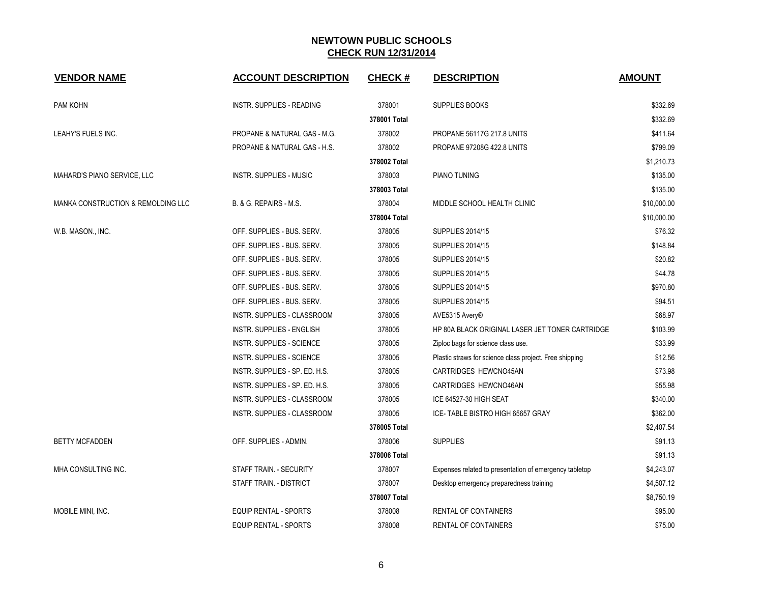| <b>VENDOR NAME</b>                            | <b>ACCOUNT DESCRIPTION</b>       | <b>CHECK#</b> | <b>DESCRIPTION</b>                                      | <b>AMOUNT</b> |
|-----------------------------------------------|----------------------------------|---------------|---------------------------------------------------------|---------------|
| PAM KOHN                                      | INSTR. SUPPLIES - READING        | 378001        | <b>SUPPLIES BOOKS</b>                                   | \$332.69      |
|                                               |                                  | 378001 Total  |                                                         | \$332.69      |
| LEAHY'S FUELS INC.                            | PROPANE & NATURAL GAS - M.G.     | 378002        | PROPANE 56117G 217.8 UNITS                              | \$411.64      |
|                                               | PROPANE & NATURAL GAS - H.S.     | 378002        | <b>PROPANE 97208G 422.8 UNITS</b>                       | \$799.09      |
|                                               |                                  | 378002 Total  |                                                         | \$1,210.73    |
| MAHARD'S PIANO SERVICE, LLC                   | <b>INSTR. SUPPLIES - MUSIC</b>   | 378003        | PIANO TUNING                                            | \$135.00      |
|                                               |                                  | 378003 Total  |                                                         | \$135.00      |
| <b>MANKA CONSTRUCTION &amp; REMOLDING LLC</b> | B. & G. REPAIRS - M.S.           | 378004        | MIDDLE SCHOOL HEALTH CLINIC                             | \$10,000.00   |
|                                               |                                  | 378004 Total  |                                                         | \$10,000.00   |
| W.B. MASON., INC.                             | OFF. SUPPLIES - BUS. SERV.       | 378005        | <b>SUPPLIES 2014/15</b>                                 | \$76.32       |
|                                               | OFF. SUPPLIES - BUS. SERV.       | 378005        | <b>SUPPLIES 2014/15</b>                                 | \$148.84      |
|                                               | OFF. SUPPLIES - BUS. SERV.       | 378005        | <b>SUPPLIES 2014/15</b>                                 | \$20.82       |
|                                               | OFF. SUPPLIES - BUS. SERV.       | 378005        | <b>SUPPLIES 2014/15</b>                                 | \$44.78       |
|                                               | OFF. SUPPLIES - BUS. SERV.       | 378005        | <b>SUPPLIES 2014/15</b>                                 | \$970.80      |
|                                               | OFF. SUPPLIES - BUS. SERV.       | 378005        | <b>SUPPLIES 2014/15</b>                                 | \$94.51       |
|                                               | INSTR. SUPPLIES - CLASSROOM      | 378005        | AVE5315 Avery®                                          | \$68.97       |
|                                               | INSTR. SUPPLIES - ENGLISH        | 378005        | HP 80A BLACK ORIGINAL LASER JET TONER CARTRIDGE         | \$103.99      |
|                                               | <b>INSTR. SUPPLIES - SCIENCE</b> | 378005        | Ziploc bags for science class use.                      | \$33.99       |
|                                               | <b>INSTR. SUPPLIES - SCIENCE</b> | 378005        | Plastic straws for science class project. Free shipping | \$12.56       |
|                                               | INSTR. SUPPLIES - SP. ED. H.S.   | 378005        | CARTRIDGES HEWCNO45AN                                   | \$73.98       |
|                                               | INSTR. SUPPLIES - SP. ED. H.S.   | 378005        | CARTRIDGES HEWCNO46AN                                   | \$55.98       |
|                                               | INSTR. SUPPLIES - CLASSROOM      | 378005        | ICE 64527-30 HIGH SEAT                                  | \$340.00      |
|                                               | INSTR. SUPPLIES - CLASSROOM      | 378005        | ICE-TABLE BISTRO HIGH 65657 GRAY                        | \$362.00      |
|                                               |                                  | 378005 Total  |                                                         | \$2,407.54    |
| <b>BETTY MCFADDEN</b>                         | OFF. SUPPLIES - ADMIN.           | 378006        | <b>SUPPLIES</b>                                         | \$91.13       |
|                                               |                                  | 378006 Total  |                                                         | \$91.13       |
| MHA CONSULTING INC.                           | STAFF TRAIN. - SECURITY          | 378007        | Expenses related to presentation of emergency tabletop  | \$4,243.07    |
|                                               | STAFF TRAIN. - DISTRICT          | 378007        | Desktop emergency preparedness training                 | \$4,507.12    |
|                                               |                                  | 378007 Total  |                                                         | \$8,750.19    |
| MOBILE MINI, INC.                             | <b>EQUIP RENTAL - SPORTS</b>     | 378008        | <b>RENTAL OF CONTAINERS</b>                             | \$95.00       |
|                                               | <b>EQUIP RENTAL - SPORTS</b>     | 378008        | <b>RENTAL OF CONTAINERS</b>                             | \$75.00       |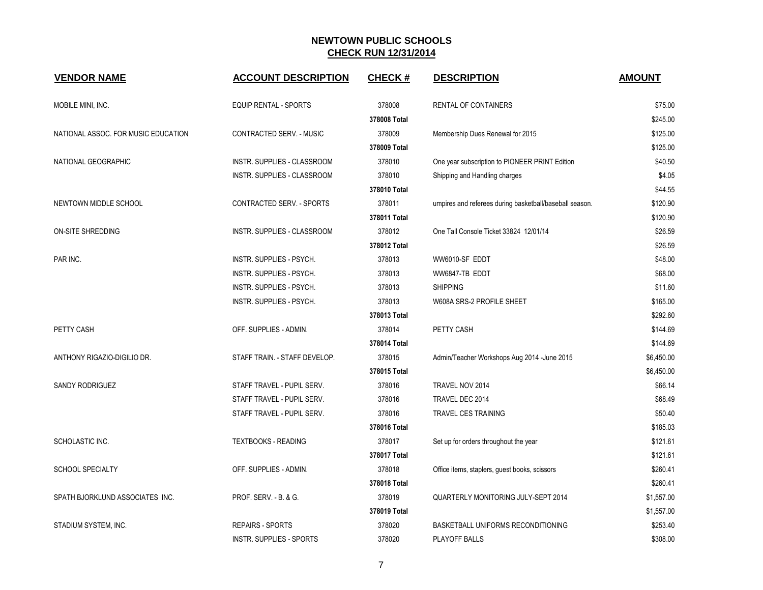| <b>VENDOR NAME</b>                  | <b>ACCOUNT DESCRIPTION</b>      | <b>CHECK#</b> | <b>DESCRIPTION</b>                                      | <b>AMOUNT</b> |
|-------------------------------------|---------------------------------|---------------|---------------------------------------------------------|---------------|
| MOBILE MINI, INC.                   | <b>EQUIP RENTAL - SPORTS</b>    | 378008        | RENTAL OF CONTAINERS                                    | \$75.00       |
|                                     |                                 | 378008 Total  |                                                         | \$245.00      |
| NATIONAL ASSOC. FOR MUSIC EDUCATION | CONTRACTED SERV. - MUSIC        | 378009        | Membership Dues Renewal for 2015                        | \$125.00      |
|                                     |                                 | 378009 Total  |                                                         | \$125.00      |
| NATIONAL GEOGRAPHIC                 | INSTR. SUPPLIES - CLASSROOM     | 378010        | One year subscription to PIONEER PRINT Edition          | \$40.50       |
|                                     | INSTR. SUPPLIES - CLASSROOM     | 378010        | Shipping and Handling charges                           | \$4.05        |
|                                     |                                 | 378010 Total  |                                                         | \$44.55       |
| NEWTOWN MIDDLE SCHOOL               | CONTRACTED SERV. - SPORTS       | 378011        | umpires and referees during basketball/baseball season. | \$120.90      |
|                                     |                                 | 378011 Total  |                                                         | \$120.90      |
| ON-SITE SHREDDING                   | INSTR. SUPPLIES - CLASSROOM     | 378012        | One Tall Console Ticket 33824 12/01/14                  | \$26.59       |
|                                     |                                 | 378012 Total  |                                                         | \$26.59       |
| PAR INC.                            | INSTR. SUPPLIES - PSYCH.        | 378013        | WW6010-SF EDDT                                          | \$48.00       |
|                                     | INSTR. SUPPLIES - PSYCH.        | 378013        | WW6847-TB EDDT                                          | \$68.00       |
|                                     | INSTR. SUPPLIES - PSYCH.        | 378013        | <b>SHIPPING</b>                                         | \$11.60       |
|                                     | INSTR. SUPPLIES - PSYCH.        | 378013        | W608A SRS-2 PROFILE SHEET                               | \$165.00      |
|                                     |                                 | 378013 Total  |                                                         | \$292.60      |
| PETTY CASH                          | OFF. SUPPLIES - ADMIN.          | 378014        | PETTY CASH                                              | \$144.69      |
|                                     |                                 | 378014 Total  |                                                         | \$144.69      |
| ANTHONY RIGAZIO-DIGILIO DR.         | STAFF TRAIN. - STAFF DEVELOP.   | 378015        | Admin/Teacher Workshops Aug 2014 - June 2015            | \$6,450.00    |
|                                     |                                 | 378015 Total  |                                                         | \$6,450.00    |
| SANDY RODRIGUEZ                     | STAFF TRAVEL - PUPIL SERV.      | 378016        | TRAVEL NOV 2014                                         | \$66.14       |
|                                     | STAFF TRAVEL - PUPIL SERV.      | 378016        | TRAVEL DEC 2014                                         | \$68.49       |
|                                     | STAFF TRAVEL - PUPIL SERV.      | 378016        | TRAVEL CES TRAINING                                     | \$50.40       |
|                                     |                                 | 378016 Total  |                                                         | \$185.03      |
| SCHOLASTIC INC.                     | <b>TEXTBOOKS - READING</b>      | 378017        | Set up for orders throughout the year                   | \$121.61      |
|                                     |                                 | 378017 Total  |                                                         | \$121.61      |
| <b>SCHOOL SPECIALTY</b>             | OFF. SUPPLIES - ADMIN.          | 378018        | Office items, staplers, guest books, scissors           | \$260.41      |
|                                     |                                 | 378018 Total  |                                                         | \$260.41      |
| SPATH BJORKLUND ASSOCIATES INC.     | PROF. SERV. - B. & G.           | 378019        | QUARTERLY MONITORING JULY-SEPT 2014                     | \$1,557.00    |
|                                     |                                 | 378019 Total  |                                                         | \$1,557.00    |
| STADIUM SYSTEM, INC.                | <b>REPAIRS - SPORTS</b>         | 378020        | BASKETBALL UNIFORMS RECONDITIONING                      | \$253.40      |
|                                     | <b>INSTR. SUPPLIES - SPORTS</b> | 378020        | PLAYOFF BALLS                                           | \$308.00      |